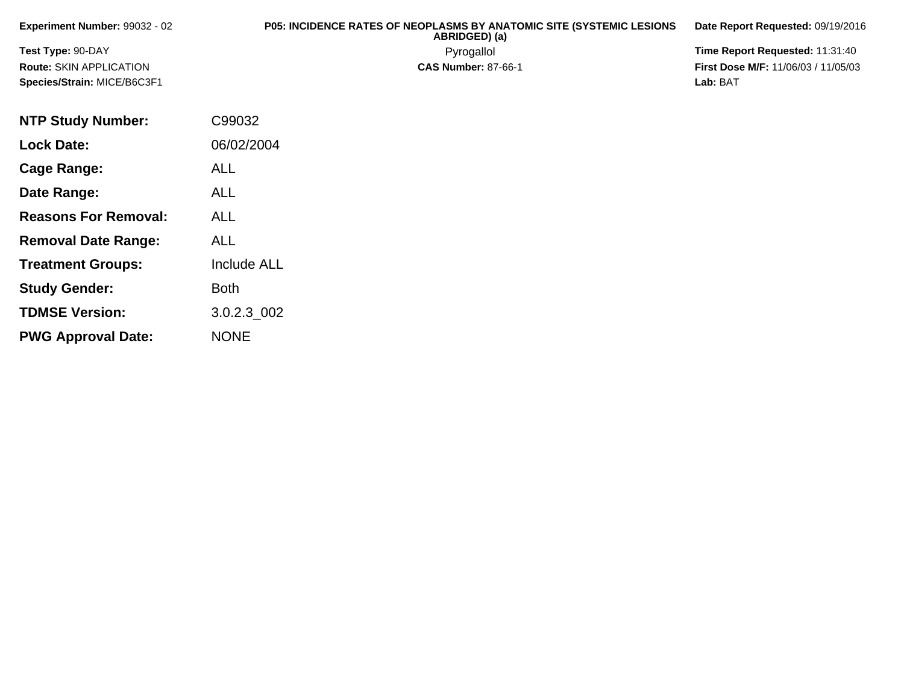| <b>Experiment Number:</b> 99032 - 02 | <b>P05: INCIDENCE RATES OF NEOPLASMS BY ANATOMIC SITE (SYSTEMIC LESIONS)</b><br>ABRIDGED) (a) | Date Report Requested: 09/19/2016          |
|--------------------------------------|-----------------------------------------------------------------------------------------------|--------------------------------------------|
| Test Type: 90-DAY                    | Pyrogallol                                                                                    | Time Report Requested: 11:31:40            |
| Route: SKIN APPLICATION              | <b>CAS Number: 87-66-1</b>                                                                    | <b>First Dose M/F: 11/06/03 / 11/05/03</b> |
| Species/Strain: MICE/B6C3F1          |                                                                                               | Lab: BAT                                   |

| <b>NTP Study Number:</b>    | C99032             |
|-----------------------------|--------------------|
| <b>Lock Date:</b>           | 06/02/2004         |
| Cage Range:                 | ALL                |
| Date Range:                 | <b>ALL</b>         |
| <b>Reasons For Removal:</b> | ALL                |
| <b>Removal Date Range:</b>  | ALL                |
| <b>Treatment Groups:</b>    | <b>Include ALL</b> |
| <b>Study Gender:</b>        | <b>Both</b>        |
| <b>TDMSE Version:</b>       | 3.0.2.3 002        |
| <b>PWG Approval Date:</b>   | <b>NONE</b>        |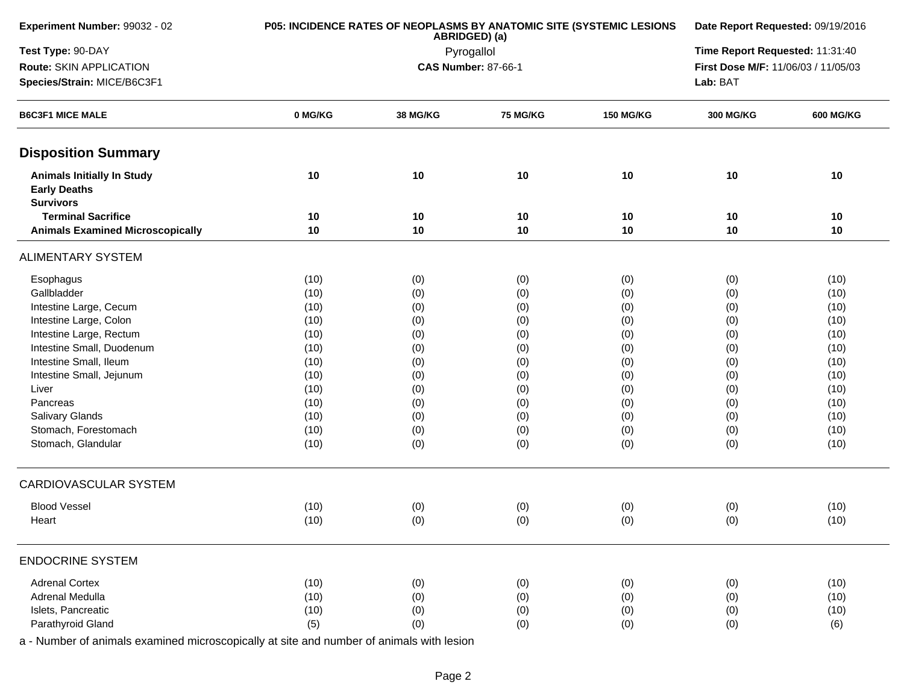| Experiment Number: 99032 - 02                                                | P05: INCIDENCE RATES OF NEOPLASMS BY ANATOMIC SITE (SYSTEMIC LESIONS | Date Report Requested: 09/19/2016 |                                 |                                     |                  |                  |
|------------------------------------------------------------------------------|----------------------------------------------------------------------|-----------------------------------|---------------------------------|-------------------------------------|------------------|------------------|
| Test Type: 90-DAY                                                            |                                                                      | ABRIDGED) (a)<br>Pyrogallol       | Time Report Requested: 11:31:40 |                                     |                  |                  |
| Route: SKIN APPLICATION                                                      |                                                                      | <b>CAS Number: 87-66-1</b>        |                                 | First Dose M/F: 11/06/03 / 11/05/03 |                  |                  |
| Species/Strain: MICE/B6C3F1                                                  |                                                                      |                                   |                                 | Lab: BAT                            |                  |                  |
| <b>B6C3F1 MICE MALE</b>                                                      | 0 MG/KG                                                              | 38 MG/KG                          | <b>75 MG/KG</b>                 | <b>150 MG/KG</b>                    | <b>300 MG/KG</b> | <b>600 MG/KG</b> |
| <b>Disposition Summary</b>                                                   |                                                                      |                                   |                                 |                                     |                  |                  |
| <b>Animals Initially In Study</b><br><b>Early Deaths</b><br><b>Survivors</b> | 10                                                                   | 10                                | 10                              | 10                                  | 10               | 10               |
| <b>Terminal Sacrifice</b>                                                    | 10                                                                   | 10                                | 10                              | 10                                  | 10               | 10               |
| <b>Animals Examined Microscopically</b>                                      | 10                                                                   | 10                                | 10                              | 10                                  | 10               | 10               |
| <b>ALIMENTARY SYSTEM</b>                                                     |                                                                      |                                   |                                 |                                     |                  |                  |
| Esophagus                                                                    | (10)                                                                 | (0)                               | (0)                             | (0)                                 | (0)              | (10)             |
| Gallbladder                                                                  | (10)                                                                 | (0)                               | (0)                             | (0)                                 | (0)              | (10)             |
| Intestine Large, Cecum                                                       | (10)                                                                 | (0)                               | (0)                             | (0)                                 | (0)              | (10)             |
| Intestine Large, Colon                                                       | (10)                                                                 | (0)                               | (0)                             | (0)                                 | (0)              | (10)             |
| Intestine Large, Rectum                                                      | (10)                                                                 | (0)                               | (0)                             | (0)                                 | (0)              | (10)             |
| Intestine Small, Duodenum                                                    | (10)                                                                 | (0)                               | (0)                             | (0)                                 | (0)              | (10)             |
| Intestine Small, Ileum                                                       | (10)                                                                 | (0)                               | (0)                             | (0)                                 | (0)              | (10)             |
| Intestine Small, Jejunum                                                     | (10)                                                                 | (0)                               | (0)                             | (0)                                 | (0)              | (10)             |
| Liver                                                                        | (10)                                                                 | (0)                               | (0)                             | (0)                                 | (0)              | (10)             |
| Pancreas                                                                     | (10)                                                                 | (0)                               | (0)                             | (0)                                 | (0)              | (10)             |
| Salivary Glands                                                              | (10)                                                                 | (0)                               | (0)                             | (0)                                 | (0)              | (10)             |
| Stomach, Forestomach                                                         | (10)                                                                 | (0)                               | (0)                             | (0)                                 | (0)              | (10)             |
| Stomach, Glandular                                                           | (10)                                                                 | (0)                               | (0)                             | (0)                                 | (0)              | (10)             |
| CARDIOVASCULAR SYSTEM                                                        |                                                                      |                                   |                                 |                                     |                  |                  |
| <b>Blood Vessel</b>                                                          | (10)                                                                 | (0)                               | (0)                             | (0)                                 | (0)              | (10)             |
| Heart                                                                        | (10)                                                                 | (0)                               | (0)                             | (0)                                 | (0)              | (10)             |
| <b>ENDOCRINE SYSTEM</b>                                                      |                                                                      |                                   |                                 |                                     |                  |                  |
| <b>Adrenal Cortex</b>                                                        | (10)                                                                 | (0)                               | (0)                             | (0)                                 | (0)              | (10)             |
| Adrenal Medulla                                                              | (10)                                                                 | (0)                               | (0)                             | (0)                                 | (0)              | (10)             |
| Islets, Pancreatic                                                           | (10)                                                                 | (0)                               | (0)                             | (0)                                 | (0)              | (10)             |
| Parathyroid Gland                                                            | (5)                                                                  | (0)                               | (0)                             | (0)                                 | (0)              | (6)              |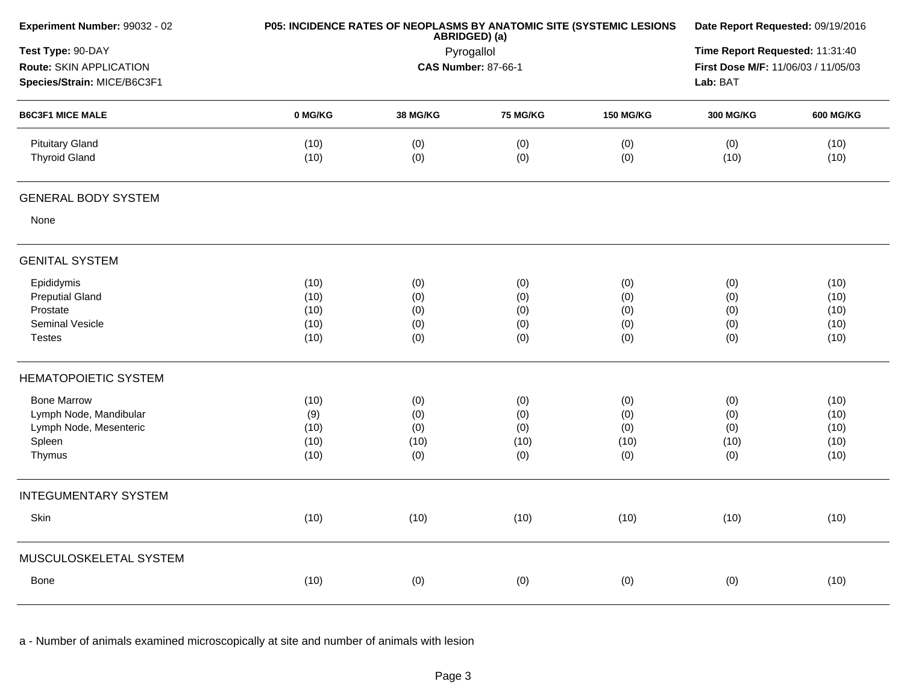| Experiment Number: 99032 - 02                                               |              | ABRIDGED) (a)                            | P05: INCIDENCE RATES OF NEOPLASMS BY ANATOMIC SITE (SYSTEMIC LESIONS | Date Report Requested: 09/19/2016 |                  |                  |
|-----------------------------------------------------------------------------|--------------|------------------------------------------|----------------------------------------------------------------------|-----------------------------------|------------------|------------------|
| Test Type: 90-DAY<br>Route: SKIN APPLICATION<br>Species/Strain: MICE/B6C3F1 |              | Pyrogallol<br><b>CAS Number: 87-66-1</b> |                                                                      |                                   |                  |                  |
| <b>B6C3F1 MICE MALE</b>                                                     | 0 MG/KG      | 38 MG/KG                                 | 75 MG/KG                                                             | <b>150 MG/KG</b>                  | <b>300 MG/KG</b> | <b>600 MG/KG</b> |
| <b>Pituitary Gland</b><br><b>Thyroid Gland</b>                              | (10)<br>(10) | (0)<br>(0)                               | (0)<br>(0)                                                           | (0)<br>(0)                        | (0)<br>(10)      | (10)<br>(10)     |
| <b>GENERAL BODY SYSTEM</b>                                                  |              |                                          |                                                                      |                                   |                  |                  |
| None                                                                        |              |                                          |                                                                      |                                   |                  |                  |
| <b>GENITAL SYSTEM</b>                                                       |              |                                          |                                                                      |                                   |                  |                  |
| Epididymis                                                                  | (10)         | (0)                                      | (0)                                                                  | (0)                               | (0)              | (10)             |
| <b>Preputial Gland</b>                                                      | (10)         | (0)                                      | (0)                                                                  | (0)                               | (0)              | (10)             |
| Prostate                                                                    | (10)         | (0)                                      | (0)                                                                  | (0)                               | (0)              | (10)             |
| Seminal Vesicle                                                             | (10)         | (0)                                      | (0)                                                                  | (0)                               | (0)              | (10)             |
| <b>Testes</b>                                                               | (10)         | (0)                                      | (0)                                                                  | (0)                               | (0)              | (10)             |
| <b>HEMATOPOIETIC SYSTEM</b>                                                 |              |                                          |                                                                      |                                   |                  |                  |
| <b>Bone Marrow</b>                                                          | (10)         | (0)                                      | (0)                                                                  | (0)                               | (0)              | (10)             |
| Lymph Node, Mandibular                                                      | (9)          | (0)                                      | (0)                                                                  | (0)                               | (0)              | (10)             |
| Lymph Node, Mesenteric                                                      | (10)         | (0)                                      | (0)                                                                  | (0)                               | (0)              | (10)             |
| Spleen                                                                      | (10)         | (10)                                     | (10)                                                                 | (10)                              | (10)             | (10)             |
| Thymus                                                                      | (10)         | (0)                                      | (0)                                                                  | (0)                               | (0)              | (10)             |
| <b>INTEGUMENTARY SYSTEM</b>                                                 |              |                                          |                                                                      |                                   |                  |                  |
| Skin                                                                        | (10)         | (10)                                     | (10)                                                                 | (10)                              | (10)             | (10)             |
| MUSCULOSKELETAL SYSTEM                                                      |              |                                          |                                                                      |                                   |                  |                  |
| Bone                                                                        | (10)         | (0)                                      | (0)                                                                  | (0)                               | (0)              | (10)             |
|                                                                             |              |                                          |                                                                      |                                   |                  |                  |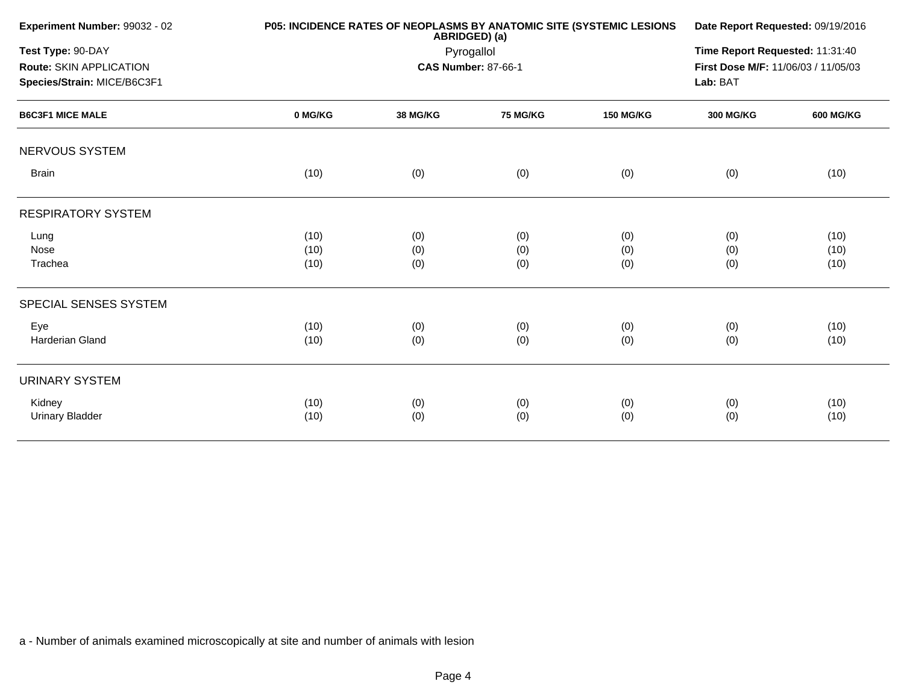| Experiment Number: 99032 - 02  |         | P05: INCIDENCE RATES OF NEOPLASMS BY ANATOMIC SITE (SYSTEMIC LESIONS<br>ABRIDGED) (a) |                            |                  |                                     |                  |  |
|--------------------------------|---------|---------------------------------------------------------------------------------------|----------------------------|------------------|-------------------------------------|------------------|--|
| Test Type: 90-DAY              |         | Pyrogallol                                                                            |                            |                  |                                     |                  |  |
| <b>Route: SKIN APPLICATION</b> |         |                                                                                       | <b>CAS Number: 87-66-1</b> |                  | First Dose M/F: 11/06/03 / 11/05/03 |                  |  |
| Species/Strain: MICE/B6C3F1    |         |                                                                                       |                            |                  | Lab: BAT                            |                  |  |
| <b>B6C3F1 MICE MALE</b>        | 0 MG/KG | <b>38 MG/KG</b>                                                                       | <b>75 MG/KG</b>            | <b>150 MG/KG</b> | <b>300 MG/KG</b>                    | <b>600 MG/KG</b> |  |
| NERVOUS SYSTEM                 |         |                                                                                       |                            |                  |                                     |                  |  |
| <b>Brain</b>                   | (10)    | (0)                                                                                   | (0)                        | (0)              | (0)                                 | (10)             |  |
| <b>RESPIRATORY SYSTEM</b>      |         |                                                                                       |                            |                  |                                     |                  |  |
| Lung                           | (10)    | (0)                                                                                   | (0)                        | (0)              | (0)                                 | (10)             |  |
| Nose                           | (10)    | (0)                                                                                   | (0)                        | (0)              | (0)                                 | (10)             |  |
| Trachea                        | (10)    | (0)                                                                                   | (0)                        | (0)              | (0)                                 | (10)             |  |
| SPECIAL SENSES SYSTEM          |         |                                                                                       |                            |                  |                                     |                  |  |
| Eye                            | (10)    | (0)                                                                                   | (0)                        | (0)              | (0)                                 | (10)             |  |
| Harderian Gland                | (10)    | (0)                                                                                   | (0)                        | (0)              | (0)                                 | (10)             |  |
| <b>URINARY SYSTEM</b>          |         |                                                                                       |                            |                  |                                     |                  |  |
| Kidney                         | (10)    | (0)                                                                                   | (0)                        | (0)              | (0)                                 | (10)             |  |
| <b>Urinary Bladder</b>         | (10)    | (0)                                                                                   | (0)                        | (0)              | (0)                                 | (10)             |  |
|                                |         |                                                                                       |                            |                  |                                     |                  |  |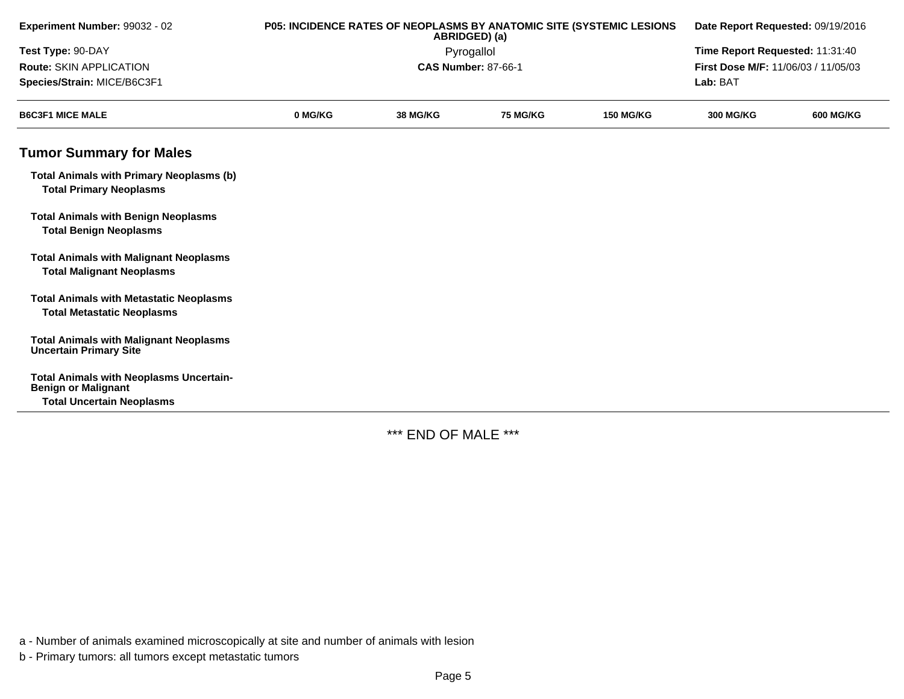| Experiment Number: 99032 - 02                                                       | P05: INCIDENCE RATES OF NEOPLASMS BY ANATOMIC SITE (SYSTEMIC LESIONS<br>ABRIDGED) (a) |                 |                                 | Date Report Requested: 09/19/2016 |                                            |                  |
|-------------------------------------------------------------------------------------|---------------------------------------------------------------------------------------|-----------------|---------------------------------|-----------------------------------|--------------------------------------------|------------------|
| Test Type: 90-DAY                                                                   |                                                                                       | Pyrogallol      | Time Report Requested: 11:31:40 |                                   |                                            |                  |
| <b>Route: SKIN APPLICATION</b>                                                      |                                                                                       |                 | <b>CAS Number: 87-66-1</b>      |                                   | <b>First Dose M/F: 11/06/03 / 11/05/03</b> |                  |
| Species/Strain: MICE/B6C3F1                                                         |                                                                                       |                 |                                 |                                   | Lab: BAT                                   |                  |
| <b>B6C3F1 MICE MALE</b>                                                             | 0 MG/KG                                                                               | <b>38 MG/KG</b> | <b>75 MG/KG</b>                 | <b>150 MG/KG</b>                  | <b>300 MG/KG</b>                           | <b>600 MG/KG</b> |
| <b>Tumor Summary for Males</b>                                                      |                                                                                       |                 |                                 |                                   |                                            |                  |
| <b>Total Animals with Primary Neoplasms (b)</b><br><b>Total Primary Neoplasms</b>   |                                                                                       |                 |                                 |                                   |                                            |                  |
| <b>Total Animals with Benign Neoplasms</b><br><b>Total Benign Neoplasms</b>         |                                                                                       |                 |                                 |                                   |                                            |                  |
| <b>Total Animals with Malignant Neoplasms</b><br><b>Total Malignant Neoplasms</b>   |                                                                                       |                 |                                 |                                   |                                            |                  |
| <b>Total Animals with Metastatic Neoplasms</b><br><b>Total Metastatic Neoplasms</b> |                                                                                       |                 |                                 |                                   |                                            |                  |
| <b>Total Animals with Malignant Neoplasms</b><br><b>Uncertain Primary Site</b>      |                                                                                       |                 |                                 |                                   |                                            |                  |
| <b>Total Animals with Neoplasms Uncertain-</b><br><b>Benign or Malignant</b>        |                                                                                       |                 |                                 |                                   |                                            |                  |
| <b>Total Uncertain Neoplasms</b>                                                    |                                                                                       |                 |                                 |                                   |                                            |                  |

\*\*\* END OF MALE \*\*\*

a - Number of animals examined microscopically at site and number of animals with lesion

b - Primary tumors: all tumors except metastatic tumors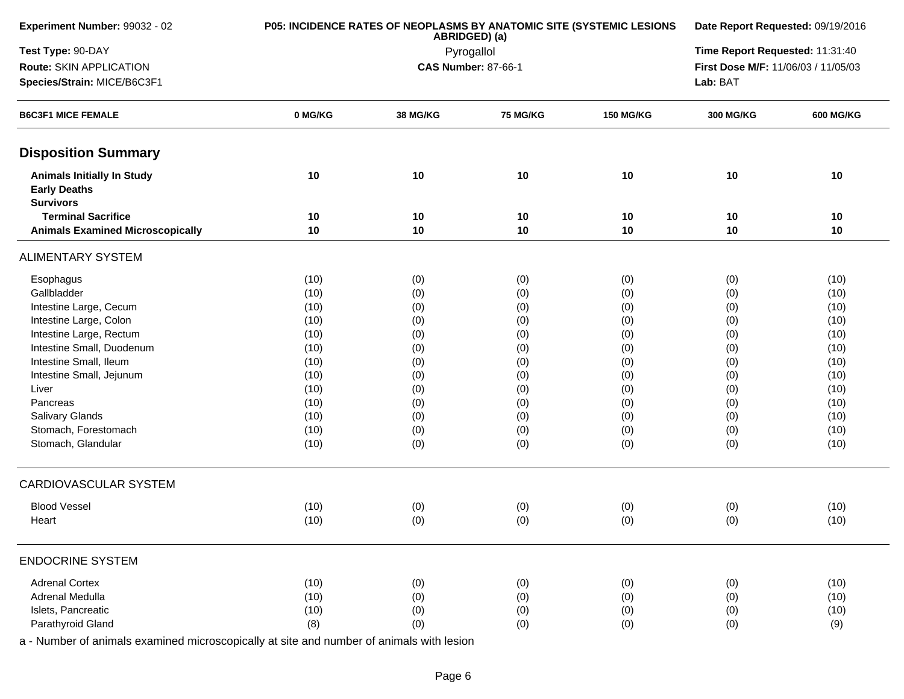| Experiment Number: 99032 - 02                                                | P05: INCIDENCE RATES OF NEOPLASMS BY ANATOMIC SITE (SYSTEMIC LESIONS | Date Report Requested: 09/19/2016 |                                 |                  |                                     |                  |
|------------------------------------------------------------------------------|----------------------------------------------------------------------|-----------------------------------|---------------------------------|------------------|-------------------------------------|------------------|
| Test Type: 90-DAY                                                            |                                                                      | ABRIDGED) (a)<br>Pyrogallol       | Time Report Requested: 11:31:40 |                  |                                     |                  |
| Route: SKIN APPLICATION                                                      |                                                                      |                                   | <b>CAS Number: 87-66-1</b>      |                  | First Dose M/F: 11/06/03 / 11/05/03 |                  |
| Species/Strain: MICE/B6C3F1                                                  |                                                                      |                                   |                                 | Lab: BAT         |                                     |                  |
| <b>B6C3F1 MICE FEMALE</b>                                                    | 0 MG/KG                                                              | 38 MG/KG                          | <b>75 MG/KG</b>                 | <b>150 MG/KG</b> | <b>300 MG/KG</b>                    | <b>600 MG/KG</b> |
| <b>Disposition Summary</b>                                                   |                                                                      |                                   |                                 |                  |                                     |                  |
| <b>Animals Initially In Study</b><br><b>Early Deaths</b><br><b>Survivors</b> | 10                                                                   | 10                                | 10                              | 10               | 10                                  | 10               |
| <b>Terminal Sacrifice</b>                                                    | 10                                                                   | 10                                | 10                              | 10               | 10                                  | 10               |
| <b>Animals Examined Microscopically</b>                                      | 10                                                                   | 10                                | 10                              | 10               | 10                                  | 10               |
| <b>ALIMENTARY SYSTEM</b>                                                     |                                                                      |                                   |                                 |                  |                                     |                  |
| Esophagus                                                                    | (10)                                                                 | (0)                               | (0)                             | (0)              | (0)                                 | (10)             |
| Gallbladder                                                                  | (10)                                                                 | (0)                               | (0)                             | (0)              | (0)                                 | (10)             |
| Intestine Large, Cecum                                                       | (10)                                                                 | (0)                               | (0)                             | (0)              | (0)                                 | (10)             |
| Intestine Large, Colon                                                       | (10)                                                                 | (0)                               | (0)                             | (0)              | (0)                                 | (10)             |
| Intestine Large, Rectum                                                      | (10)                                                                 | (0)                               | (0)                             | (0)              | (0)                                 | (10)             |
| Intestine Small, Duodenum                                                    | (10)                                                                 | (0)                               | (0)                             | (0)              | (0)                                 | (10)             |
| Intestine Small, Ileum                                                       | (10)                                                                 | (0)                               | (0)                             | (0)              | (0)                                 | (10)             |
| Intestine Small, Jejunum                                                     | (10)                                                                 | (0)                               | (0)                             | (0)              | (0)                                 | (10)             |
| Liver                                                                        | (10)                                                                 | (0)                               | (0)                             | (0)              | (0)                                 | (10)             |
| Pancreas                                                                     | (10)                                                                 | (0)                               | (0)                             | (0)              | (0)                                 | (10)             |
| Salivary Glands                                                              | (10)                                                                 | (0)                               | (0)                             | (0)              | (0)                                 | (10)             |
| Stomach, Forestomach                                                         | (10)                                                                 | (0)                               | (0)                             | (0)              | (0)                                 | (10)             |
| Stomach, Glandular                                                           | (10)                                                                 | (0)                               | (0)                             | (0)              | (0)                                 | (10)             |
| CARDIOVASCULAR SYSTEM                                                        |                                                                      |                                   |                                 |                  |                                     |                  |
| <b>Blood Vessel</b>                                                          | (10)                                                                 | (0)                               | (0)                             | (0)              | (0)                                 | (10)             |
| Heart                                                                        | (10)                                                                 | (0)                               | (0)                             | (0)              | (0)                                 | (10)             |
| <b>ENDOCRINE SYSTEM</b>                                                      |                                                                      |                                   |                                 |                  |                                     |                  |
| <b>Adrenal Cortex</b>                                                        | (10)                                                                 | (0)                               | (0)                             | (0)              | (0)                                 | (10)             |
| Adrenal Medulla                                                              | (10)                                                                 | (0)                               | (0)                             | (0)              | (0)                                 | (10)             |
| Islets, Pancreatic                                                           | (10)                                                                 | (0)                               | (0)                             | (0)              | (0)                                 | (10)             |
| Parathyroid Gland                                                            | (8)                                                                  | (0)                               | (0)                             | (0)              | (0)                                 | (9)              |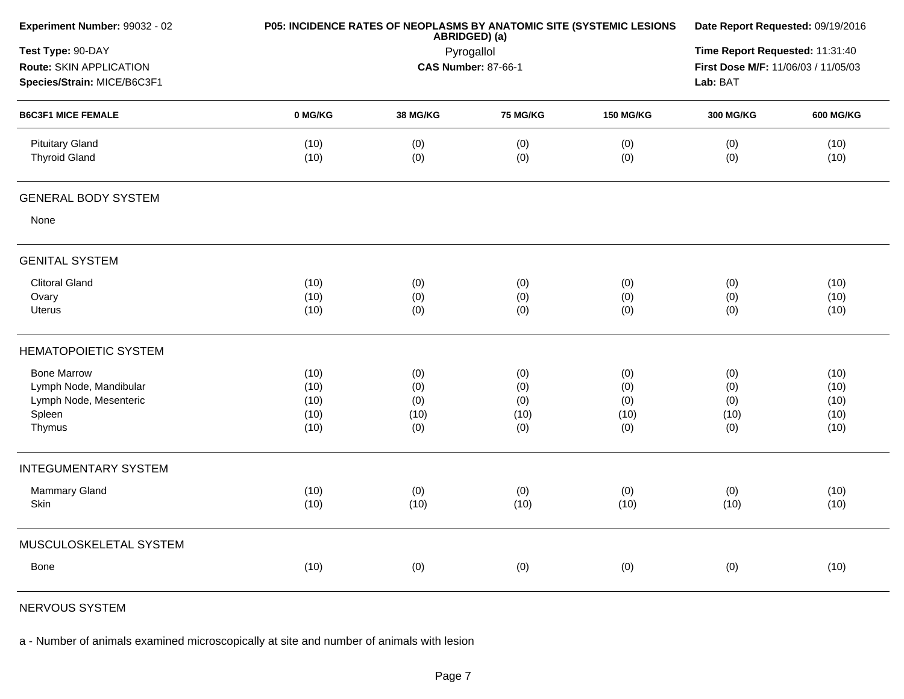|              |                                                           |                                         |                                  |                                  | Date Report Requested: 09/19/2016                                                          |  |  |
|--------------|-----------------------------------------------------------|-----------------------------------------|----------------------------------|----------------------------------|--------------------------------------------------------------------------------------------|--|--|
|              | ABRIDGED) (a)<br>Pyrogallol<br><b>CAS Number: 87-66-1</b> |                                         |                                  |                                  |                                                                                            |  |  |
| 0 MG/KG      | 38 MG/KG                                                  | 75 MG/KG                                | <b>150 MG/KG</b>                 | <b>300 MG/KG</b>                 | <b>600 MG/KG</b>                                                                           |  |  |
| (10)<br>(10) | (0)<br>(0)                                                | (0)<br>(0)                              | (0)<br>(0)                       | (0)<br>(0)                       | (10)<br>(10)                                                                               |  |  |
|              |                                                           |                                         |                                  |                                  |                                                                                            |  |  |
|              |                                                           |                                         |                                  |                                  |                                                                                            |  |  |
|              |                                                           |                                         |                                  |                                  |                                                                                            |  |  |
| (10)         | (0)                                                       | (0)                                     | (0)                              | (0)                              | (10)                                                                                       |  |  |
| (10)         | (0)                                                       | (0)                                     | (0)                              | (0)                              | (10)                                                                                       |  |  |
| (10)         |                                                           | (0)                                     | (0)                              |                                  | (10)                                                                                       |  |  |
|              |                                                           |                                         |                                  |                                  |                                                                                            |  |  |
| (10)         |                                                           |                                         |                                  |                                  | (10)                                                                                       |  |  |
| (10)         | (0)                                                       | (0)                                     | (0)                              | (0)                              | (10)                                                                                       |  |  |
|              |                                                           |                                         |                                  |                                  | (10)                                                                                       |  |  |
|              |                                                           |                                         |                                  |                                  | (10)                                                                                       |  |  |
|              |                                                           |                                         |                                  |                                  | (10)                                                                                       |  |  |
|              |                                                           |                                         |                                  |                                  |                                                                                            |  |  |
|              |                                                           |                                         |                                  |                                  | (10)                                                                                       |  |  |
| (10)         | (10)                                                      | (10)                                    | (10)                             | (10)                             | (10)                                                                                       |  |  |
|              |                                                           |                                         |                                  |                                  |                                                                                            |  |  |
| (10)         | (0)                                                       | (0)                                     | (0)                              | (0)                              | (10)                                                                                       |  |  |
|              | (10)<br>(10)<br>(10)<br>(10)                              | (0)<br>(0)<br>(0)<br>(10)<br>(0)<br>(0) | (0)<br>(0)<br>(10)<br>(0)<br>(0) | (0)<br>(0)<br>(10)<br>(0)<br>(0) | First Dose M/F: 11/06/03 / 11/05/03<br>Lab: BAT<br>(0)<br>(0)<br>(0)<br>(10)<br>(0)<br>(0) |  |  |

NERVOUS SYSTEM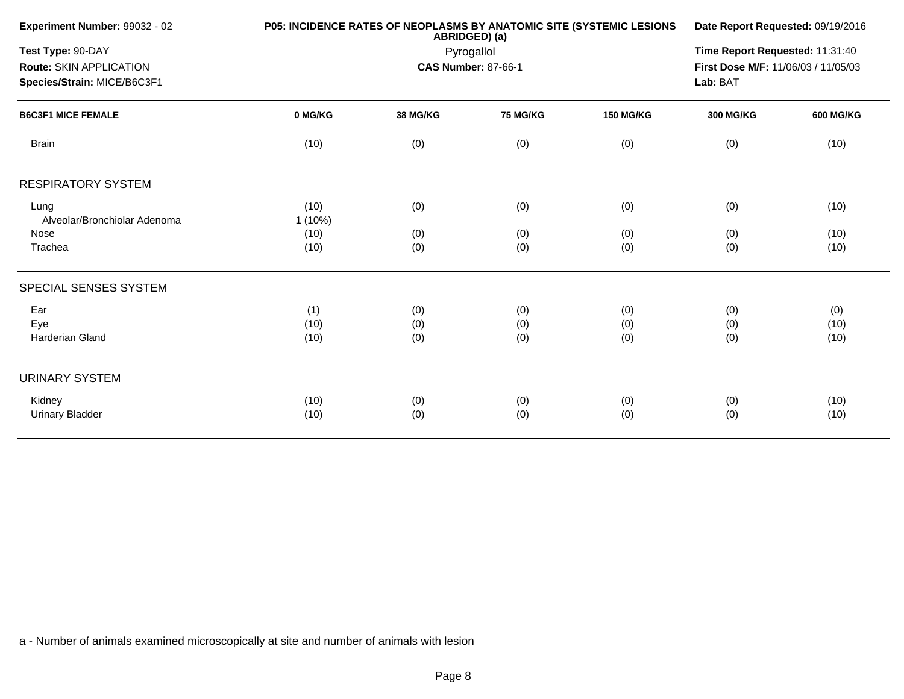| Experiment Number: 99032 - 02                                               | <b>P05: INCIDENCE RATES OF NEOPLASMS BY ANATOMIC SITE (SYSTEMIC LESIONS</b> | Date Report Requested: 09/19/2016                                                  |                   |                   |                   |                     |
|-----------------------------------------------------------------------------|-----------------------------------------------------------------------------|------------------------------------------------------------------------------------|-------------------|-------------------|-------------------|---------------------|
| Test Type: 90-DAY<br>Route: SKIN APPLICATION<br>Species/Strain: MICE/B6C3F1 |                                                                             | Time Report Requested: 11:31:40<br>First Dose M/F: 11/06/03 / 11/05/03<br>Lab: BAT |                   |                   |                   |                     |
| <b>B6C3F1 MICE FEMALE</b>                                                   | 0 MG/KG                                                                     | <b>38 MG/KG</b>                                                                    | <b>75 MG/KG</b>   | <b>150 MG/KG</b>  | <b>300 MG/KG</b>  | <b>600 MG/KG</b>    |
| <b>Brain</b>                                                                | (10)                                                                        | (0)                                                                                | (0)               | (0)               | (0)               | (10)                |
| <b>RESPIRATORY SYSTEM</b>                                                   |                                                                             |                                                                                    |                   |                   |                   |                     |
| Lung<br>Alveolar/Bronchiolar Adenoma                                        | (10)<br>1(10%)                                                              | (0)                                                                                | (0)               | (0)               | (0)               | (10)                |
| Nose<br>Trachea                                                             | (10)<br>(10)                                                                | (0)<br>(0)                                                                         | (0)<br>(0)        | (0)<br>(0)        | (0)<br>(0)        | (10)<br>(10)        |
| SPECIAL SENSES SYSTEM                                                       |                                                                             |                                                                                    |                   |                   |                   |                     |
| Ear<br>Eye<br>Harderian Gland                                               | (1)<br>(10)<br>(10)                                                         | (0)<br>(0)<br>(0)                                                                  | (0)<br>(0)<br>(0) | (0)<br>(0)<br>(0) | (0)<br>(0)<br>(0) | (0)<br>(10)<br>(10) |
| <b>URINARY SYSTEM</b>                                                       |                                                                             |                                                                                    |                   |                   |                   |                     |
| Kidney<br><b>Urinary Bladder</b>                                            | (10)<br>(10)                                                                | (0)<br>(0)                                                                         | (0)<br>(0)        | (0)<br>(0)        | (0)<br>(0)        | (10)<br>(10)        |